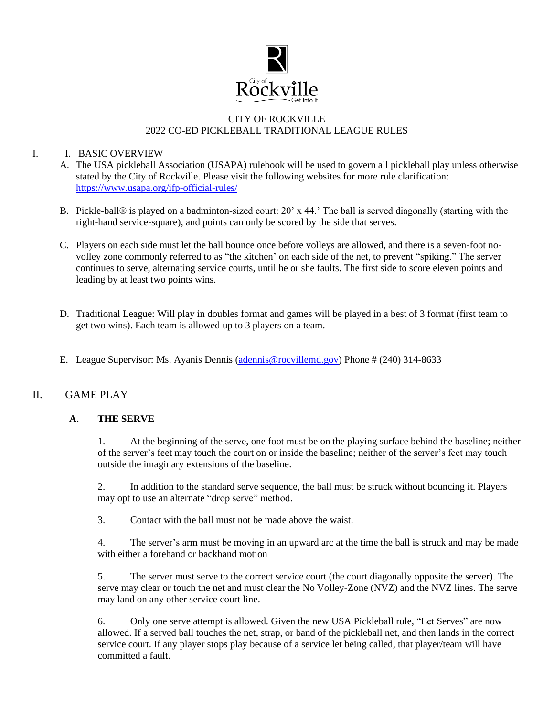

#### CITY OF ROCKVILLE 2022 CO-ED PICKLEBALL TRADITIONAL LEAGUE RULES

#### I. **I. BASIC OVERVIEW**

- A. The USA pickleball Association (USAPA) rulebook will be used to govern all pickleball play unless otherwise stated by the City of Rockville. Please visit the following websites for more rule clarification: <https://www.usapa.org/ifp-official-rules/>
- B. Pickle-ball® is played on a badminton-sized court: 20' x 44.' The ball is served diagonally (starting with the right-hand service-square), and points can only be scored by the side that serves.
- C. Players on each side must let the ball bounce once before volleys are allowed, and there is a seven-foot novolley zone commonly referred to as "the kitchen' on each side of the net, to prevent "spiking." The server continues to serve, alternating service courts, until he or she faults. The first side to score eleven points and leading by at least two points wins.
- D. Traditional League: Will play in doubles format and games will be played in a best of 3 format (first team to get two wins). Each team is allowed up to 3 players on a team.
- E. League Supervisor: Ms. Ayanis Dennis [\(adennis@rocvillemd.gov\)](mailto:adennis@rocvillemd.gov) Phone # (240) 314-8633

# II. GAME PLAY

#### **A. THE SERVE**

1. At the beginning of the serve, one foot must be on the playing surface behind the baseline; neither of the server's feet may touch the court on or inside the baseline; neither of the server's feet may touch outside the imaginary extensions of the baseline.

2. In addition to the standard serve sequence, the ball must be struck without bouncing it. Players may opt to use an alternate "drop serve" method.

3. Contact with the ball must not be made above the waist.

4. The server's arm must be moving in an upward arc at the time the ball is struck and may be made with either a forehand or backhand motion

5. The server must serve to the correct service court (the court diagonally opposite the server). The serve may clear or touch the net and must clear the No Volley-Zone (NVZ) and the NVZ lines. The serve may land on any other service court line.

6. Only one serve attempt is allowed. Given the new USA Pickleball rule, "Let Serves" are now allowed. If a served ball touches the net, strap, or band of the pickleball net, and then lands in the correct service court. If any player stops play because of a service let being called, that player/team will have committed a fault.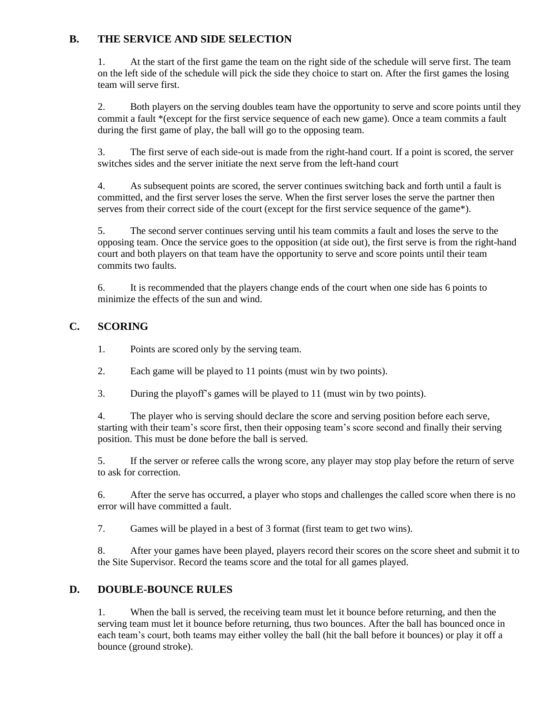# **B. THE SERVICE AND SIDE SELECTION**

1. At the start of the first game the team on the right side of the schedule will serve first. The team on the left side of the schedule will pick the side they choice to start on. After the first games the losing team will serve first.

2. Both players on the serving doubles team have the opportunity to serve and score points until they commit a fault \*(except for the first service sequence of each new game). Once a team commits a fault during the first game of play, the ball will go to the opposing team.

3. The first serve of each side-out is made from the right-hand court. If a point is scored, the server switches sides and the server initiate the next serve from the left-hand court

4. As subsequent points are scored, the server continues switching back and forth until a fault is committed, and the first server loses the serve. When the first server loses the serve the partner then serves from their correct side of the court (except for the first service sequence of the game\*).

5. The second server continues serving until his team commits a fault and loses the serve to the opposing team. Once the service goes to the opposition (at side out), the first serve is from the right-hand court and both players on that team have the opportunity to serve and score points until their team commits two faults.

6. It is recommended that the players change ends of the court when one side has 6 points to minimize the effects of the sun and wind.

# **C. SCORING**

1. Points are scored only by the serving team.

- 2. Each game will be played to 11 points (must win by two points).
- 3. During the playoff's games will be played to 11 (must win by two points).

4. The player who is serving should declare the score and serving position before each serve, starting with their team's score first, then their opposing team's score second and finally their serving position. This must be done before the ball is served.

5. If the server or referee calls the wrong score, any player may stop play before the return of serve to ask for correction.

6. After the serve has occurred, a player who stops and challenges the called score when there is no error will have committed a fault.

7. Games will be played in a best of 3 format (first team to get two wins).

8. After your games have been played, players record their scores on the score sheet and submit it to the Site Supervisor. Record the teams score and the total for all games played.

#### **D. DOUBLE-BOUNCE RULES**

1. When the ball is served, the receiving team must let it bounce before returning, and then the serving team must let it bounce before returning, thus two bounces. After the ball has bounced once in each team's court, both teams may either volley the ball (hit the ball before it bounces) or play it off a bounce (ground stroke).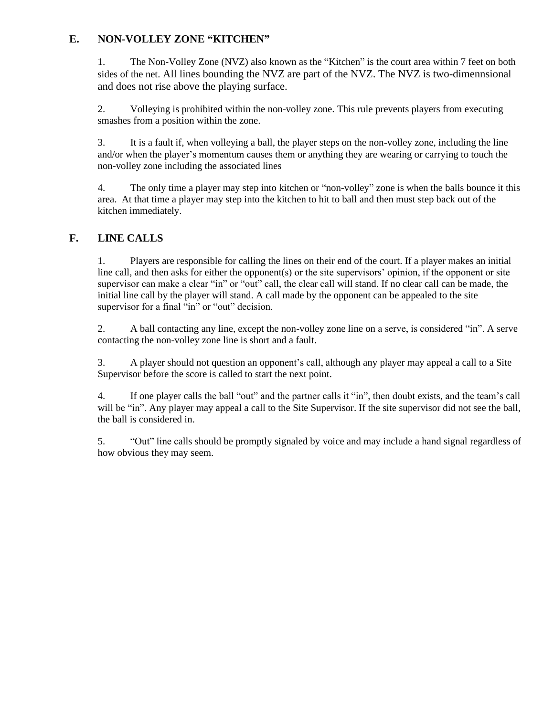# **E. NON-VOLLEY ZONE "KITCHEN"**

1. The Non-Volley Zone (NVZ) also known as the "Kitchen" is the court area within 7 feet on both sides of the net. All lines bounding the NVZ are part of the NVZ. The NVZ is two-dimennsional and does not rise above the playing surface.

2. Volleying is prohibited within the non-volley zone. This rule prevents players from executing smashes from a position within the zone.

3. It is a fault if, when volleying a ball, the player steps on the non-volley zone, including the line and/or when the player's momentum causes them or anything they are wearing or carrying to touch the non-volley zone including the associated lines

4. The only time a player may step into kitchen or "non-volley" zone is when the balls bounce it this area. At that time a player may step into the kitchen to hit to ball and then must step back out of the kitchen immediately.

# **F. LINE CALLS**

1. Players are responsible for calling the lines on their end of the court. If a player makes an initial line call, and then asks for either the opponent(s) or the site supervisors' opinion, if the opponent or site supervisor can make a clear "in" or "out" call, the clear call will stand. If no clear call can be made, the initial line call by the player will stand. A call made by the opponent can be appealed to the site supervisor for a final "in" or "out" decision.

2. A ball contacting any line, except the non-volley zone line on a serve, is considered "in". A serve contacting the non-volley zone line is short and a fault.

3. A player should not question an opponent's call, although any player may appeal a call to a Site Supervisor before the score is called to start the next point.

4. If one player calls the ball "out" and the partner calls it "in", then doubt exists, and the team's call will be "in". Any player may appeal a call to the Site Supervisor. If the site supervisor did not see the ball, the ball is considered in.

5. "Out" line calls should be promptly signaled by voice and may include a hand signal regardless of how obvious they may seem.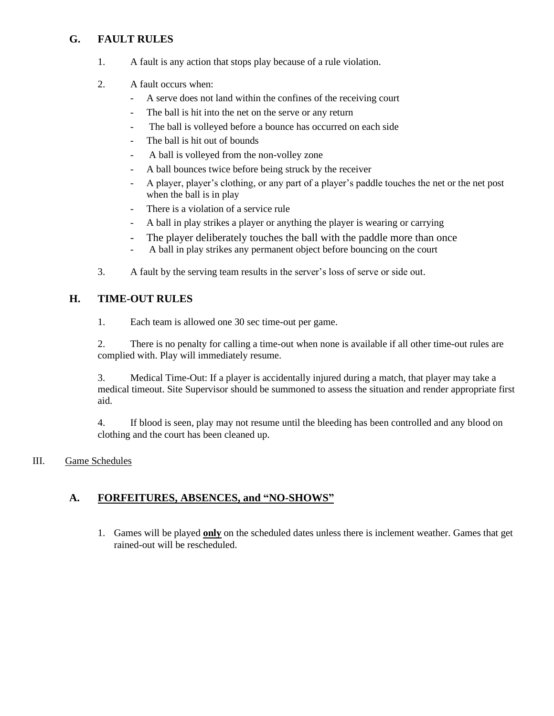# **G. FAULT RULES**

- 1. A fault is any action that stops play because of a rule violation.
- 2. A fault occurs when:
	- A serve does not land within the confines of the receiving court
	- The ball is hit into the net on the serve or any return
	- The ball is volleyed before a bounce has occurred on each side
	- The ball is hit out of bounds
	- A ball is volleyed from the non-volley zone
	- A ball bounces twice before being struck by the receiver
	- A player, player's clothing, or any part of a player's paddle touches the net or the net post when the ball is in play
	- There is a violation of a service rule
	- A ball in play strikes a player or anything the player is wearing or carrying
	- The player deliberately touches the ball with the paddle more than once
	- A ball in play strikes any permanent object before bouncing on the court
- 3. A fault by the serving team results in the server's loss of serve or side out.

# **H. TIME-OUT RULES**

1. Each team is allowed one 30 sec time-out per game.

2. There is no penalty for calling a time-out when none is available if all other time-out rules are complied with. Play will immediately resume.

3. Medical Time-Out: If a player is accidentally injured during a match, that player may take a medical timeout. Site Supervisor should be summoned to assess the situation and render appropriate first aid.

4. If blood is seen, play may not resume until the bleeding has been controlled and any blood on clothing and the court has been cleaned up.

#### III. Game Schedules

# **A. FORFEITURES, ABSENCES, and "NO-SHOWS"**

1. Games will be played **only** on the scheduled dates unless there is inclement weather. Games that get rained-out will be rescheduled.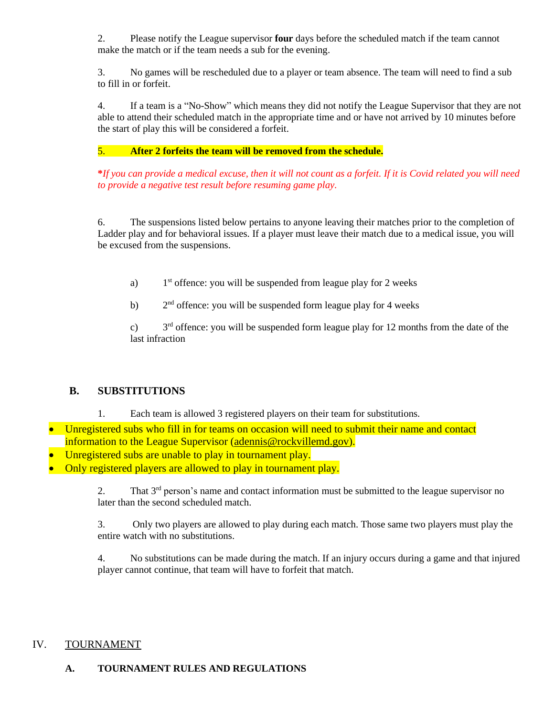2. Please notify the League supervisor **four** days before the scheduled match if the team cannot make the match or if the team needs a sub for the evening.

3. No games will be rescheduled due to a player or team absence. The team will need to find a sub to fill in or forfeit.

4. If a team is a "No-Show" which means they did not notify the League Supervisor that they are not able to attend their scheduled match in the appropriate time and or have not arrived by 10 minutes before the start of play this will be considered a forfeit.

# 5. **After 2 forfeits the team will be removed from the schedule.**

**\****If you can provide a medical excuse, then it will not count as a forfeit. If it is Covid related you will need to provide a negative test result before resuming game play.*

6. The suspensions listed below pertains to anyone leaving their matches prior to the completion of Ladder play and for behavioral issues. If a player must leave their match due to a medical issue, you will be excused from the suspensions.

- a) 1<sup>st</sup> offence: you will be suspended from league play for 2 weeks
- $b)$  $2<sup>nd</sup>$  offence: you will be suspended form league play for 4 weeks

 $c)$  $3<sup>rd</sup>$  offence: you will be suspended form league play for 12 months from the date of the last infraction

# **B. SUBSTITUTIONS**

- 1. Each team is allowed 3 registered players on their team for substitutions.
- Unregistered subs who fill in for teams on occasion will need to submit their name and contact information to the League Supervisor [\(adennis@rockvillemd.gov\)](mailto:adennis@rockvillemd.gov).
- Unregistered subs are unable to play in tournament play.
- Only registered players are allowed to play in tournament play.

2. That  $3<sup>rd</sup>$  person's name and contact information must be submitted to the league supervisor no later than the second scheduled match.

3. Only two players are allowed to play during each match. Those same two players must play the entire watch with no substitutions.

4. No substitutions can be made during the match. If an injury occurs during a game and that injured player cannot continue, that team will have to forfeit that match.

# IV. TOURNAMENT

# **A. TOURNAMENT RULES AND REGULATIONS**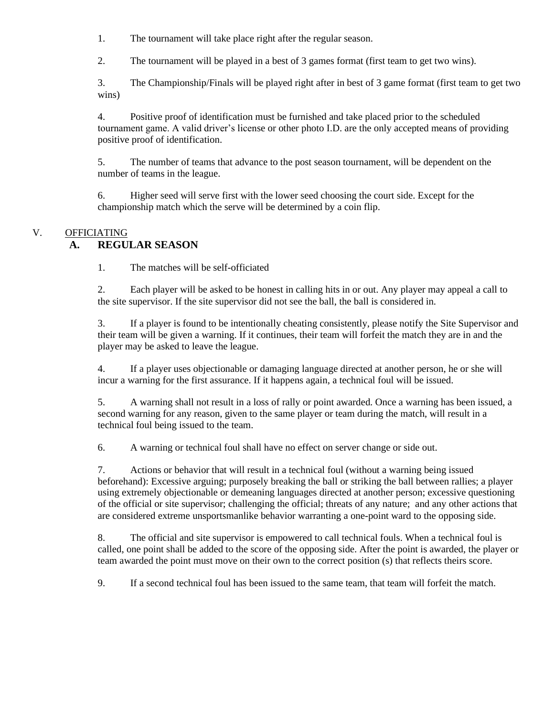1. The tournament will take place right after the regular season.

2. The tournament will be played in a best of 3 games format (first team to get two wins).

3. The Championship/Finals will be played right after in best of 3 game format (first team to get two wins)

4. Positive proof of identification must be furnished and take placed prior to the scheduled tournament game. A valid driver's license or other photo I.D. are the only accepted means of providing positive proof of identification.

5. The number of teams that advance to the post season tournament, will be dependent on the number of teams in the league.

6. Higher seed will serve first with the lower seed choosing the court side. Except for the championship match which the serve will be determined by a coin flip.

#### V. OFFICIATING

#### **A. REGULAR SEASON**

1. The matches will be self-officiated

2. Each player will be asked to be honest in calling hits in or out. Any player may appeal a call to the site supervisor. If the site supervisor did not see the ball, the ball is considered in.

3. If a player is found to be intentionally cheating consistently, please notify the Site Supervisor and their team will be given a warning. If it continues, their team will forfeit the match they are in and the player may be asked to leave the league.

4. If a player uses objectionable or damaging language directed at another person, he or she will incur a warning for the first assurance. If it happens again, a technical foul will be issued.

5. A warning shall not result in a loss of rally or point awarded. Once a warning has been issued, a second warning for any reason, given to the same player or team during the match, will result in a technical foul being issued to the team.

6. A warning or technical foul shall have no effect on server change or side out.

7. Actions or behavior that will result in a technical foul (without a warning being issued beforehand): Excessive arguing; purposely breaking the ball or striking the ball between rallies; a player using extremely objectionable or demeaning languages directed at another person; excessive questioning of the official or site supervisor; challenging the official; threats of any nature; and any other actions that are considered extreme unsportsmanlike behavior warranting a one-point ward to the opposing side.

8. The official and site supervisor is empowered to call technical fouls. When a technical foul is called, one point shall be added to the score of the opposing side. After the point is awarded, the player or team awarded the point must move on their own to the correct position (s) that reflects theirs score.

9. If a second technical foul has been issued to the same team, that team will forfeit the match.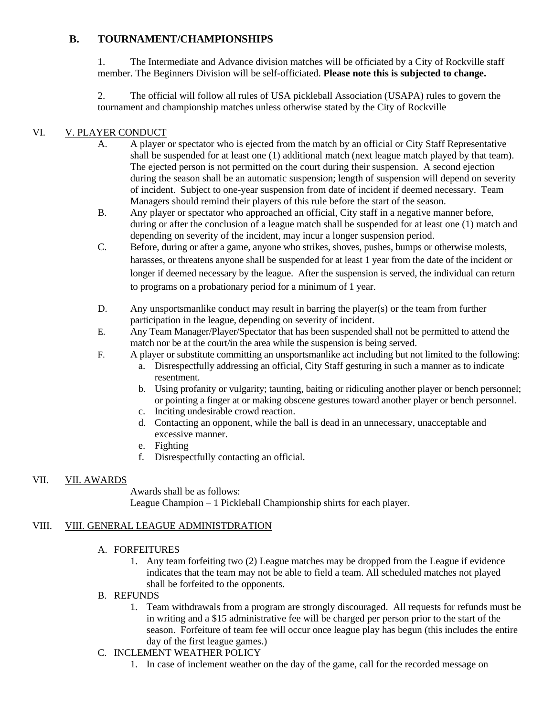# **B. TOURNAMENT/CHAMPIONSHIPS**

1. The Intermediate and Advance division matches will be officiated by a City of Rockville staff member. The Beginners Division will be self-officiated. **Please note this is subjected to change.**

2. The official will follow all rules of USA pickleball Association (USAPA) rules to govern the tournament and championship matches unless otherwise stated by the City of Rockville

#### VI. V. PLAYER CONDUCT

- A. A player or spectator who is ejected from the match by an official or City Staff Representative shall be suspended for at least one (1) additional match (next league match played by that team). The ejected person is not permitted on the court during their suspension. A second ejection during the season shall be an automatic suspension; length of suspension will depend on severity of incident. Subject to one-year suspension from date of incident if deemed necessary. Team Managers should remind their players of this rule before the start of the season.
- B. Any player or spectator who approached an official, City staff in a negative manner before, during or after the conclusion of a league match shall be suspended for at least one (1) match and depending on severity of the incident, may incur a longer suspension period.
- C. Before, during or after a game, anyone who strikes, shoves, pushes, bumps or otherwise molests, harasses, or threatens anyone shall be suspended for at least 1 year from the date of the incident or longer if deemed necessary by the league. After the suspension is served, the individual can return to programs on a probationary period for a minimum of 1 year.
- D. Any unsportsmanlike conduct may result in barring the player(s) or the team from further participation in the league, depending on severity of incident.
- E. Any Team Manager/Player/Spectator that has been suspended shall not be permitted to attend the match nor be at the court/in the area while the suspension is being served.
- F. A player or substitute committing an unsportsmanlike act including but not limited to the following:
	- a. Disrespectfully addressing an official, City Staff gesturing in such a manner as to indicate resentment.
	- b. Using profanity or vulgarity; taunting, baiting or ridiculing another player or bench personnel; or pointing a finger at or making obscene gestures toward another player or bench personnel.
	- c. Inciting undesirable crowd reaction.
	- d. Contacting an opponent, while the ball is dead in an unnecessary, unacceptable and excessive manner.
	- e. Fighting
	- f. Disrespectfully contacting an official.

#### VII. VII. AWARDS

Awards shall be as follows: League Champion – 1 Pickleball Championship shirts for each player.

#### VIII. VIII. GENERAL LEAGUE ADMINISTDRATION

#### A. FORFEITURES

- 1. Any team forfeiting two (2) League matches may be dropped from the League if evidence indicates that the team may not be able to field a team. All scheduled matches not played shall be forfeited to the opponents.
- B. REFUNDS
	- 1. Team withdrawals from a program are strongly discouraged. All requests for refunds must be in writing and a \$15 administrative fee will be charged per person prior to the start of the season. Forfeiture of team fee will occur once league play has begun (this includes the entire day of the first league games.)
- C. INCLEMENT WEATHER POLICY
	- 1. In case of inclement weather on the day of the game, call for the recorded message on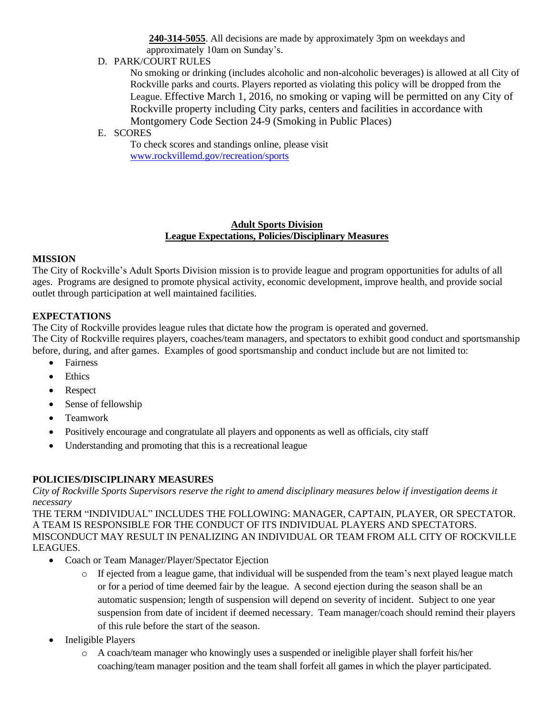**240-314-5055**. All decisions are made by approximately 3pm on weekdays and approximately 10am on Sunday's.

D. PARK/COURT RULES

No smoking or drinking (includes alcoholic and non-alcoholic beverages) is allowed at all City of Rockville parks and courts. Players reported as violating this policy will be dropped from the League. Effective March 1, 2016, no smoking or vaping will be permitted on any City of Rockville property including City parks, centers and facilities in accordance with Montgomery Code Section 24-9 (Smoking in Public Places)

#### E. SCORES

To check scores and standings online, please visit [www.rockvillemd.gov/recreation/sports](http://www.rockvillemd.gov/recreation/sports)

#### **Adult Sports Division League Expectations, Policies/Disciplinary Measures**

#### **MISSION**

The City of Rockville's Adult Sports Division mission is to provide league and program opportunities for adults of all ages. Programs are designed to promote physical activity, economic development, improve health, and provide social outlet through participation at well maintained facilities.

#### **EXPECTATIONS**

The City of Rockville provides league rules that dictate how the program is operated and governed. The City of Rockville requires players, coaches/team managers, and spectators to exhibit good conduct and sportsmanship before, during, and after games. Examples of good sportsmanship and conduct include but are not limited to:

- Fairness
- Ethics
- Respect
- Sense of fellowship
- Teamwork
- Positively encourage and congratulate all players and opponents as well as officials, city staff
- Understanding and promoting that this is a recreational league

# **POLICIES/DISCIPLINARY MEASURES**

*City of Rockville Sports Supervisors reserve the right to amend disciplinary measures below if investigation deems it necessary* 

THE TERM "INDIVIDUAL" INCLUDES THE FOLLOWING: MANAGER, CAPTAIN, PLAYER, OR SPECTATOR. A TEAM IS RESPONSIBLE FOR THE CONDUCT OF ITS INDIVIDUAL PLAYERS AND SPECTATORS. MISCONDUCT MAY RESULT IN PENALIZING AN INDIVIDUAL OR TEAM FROM ALL CITY OF ROCKVILLE LEAGUES.

- Coach or Team Manager/Player/Spectator Ejection
	- $\circ$  If ejected from a league game, that individual will be suspended from the team's next played league match or for a period of time deemed fair by the league. A second ejection during the season shall be an automatic suspension; length of suspension will depend on severity of incident. Subject to one year suspension from date of incident if deemed necessary. Team manager/coach should remind their players of this rule before the start of the season.
- Ineligible Players
	- o A coach/team manager who knowingly uses a suspended or ineligible player shall forfeit his/her coaching/team manager position and the team shall forfeit all games in which the player participated.